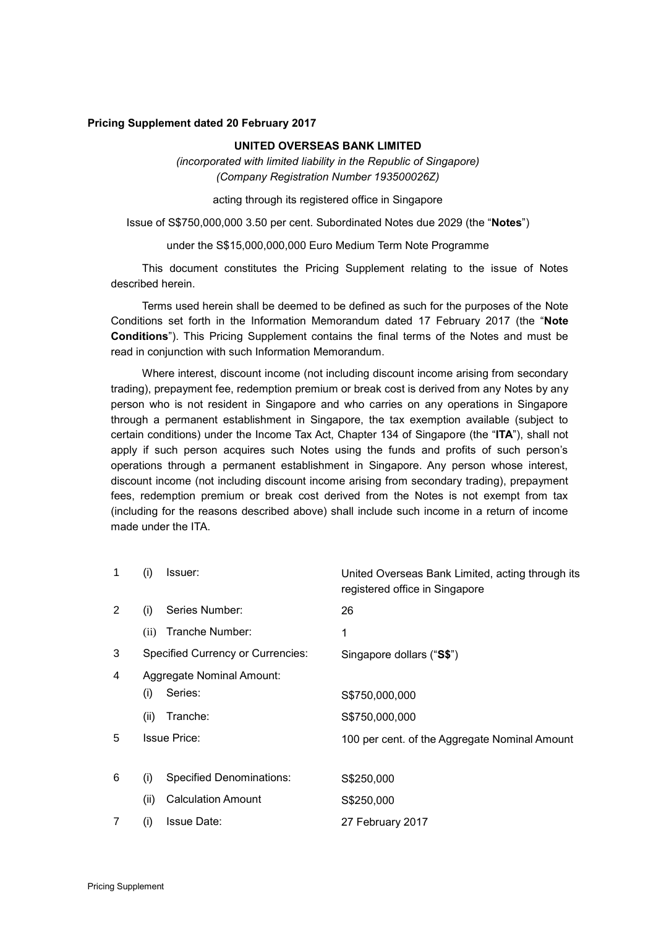#### **Pricing Supplement dated 20 February 2017**

#### **UNITED OVERSEAS BANK LIMITED**

*(incorporated with limited liability in the Republic of Singapore) (Company Registration Number 193500026Z)*

acting through its registered office in Singapore

Issue of S\$750,000,000 3.50 per cent. Subordinated Notes due 2029 (the "**Notes**")

under the S\$15,000,000,000 Euro Medium Term Note Programme

This document constitutes the Pricing Supplement relating to the issue of Notes described herein.

Terms used herein shall be deemed to be defined as such for the purposes of the Note Conditions set forth in the Information Memorandum dated 17 February 2017 (the "**Note Conditions**"). This Pricing Supplement contains the final terms of the Notes and must be read in conjunction with such Information Memorandum.

Where interest, discount income (not including discount income arising from secondary trading), prepayment fee, redemption premium or break cost is derived from any Notes by any person who is not resident in Singapore and who carries on any operations in Singapore through a permanent establishment in Singapore, the tax exemption available (subject to certain conditions) under the Income Tax Act, Chapter 134 of Singapore (the "**ITA**"), shall not apply if such person acquires such Notes using the funds and profits of such person's operations through a permanent establishment in Singapore. Any person whose interest, discount income (not including discount income arising from secondary trading), prepayment fees, redemption premium or break cost derived from the Notes is not exempt from tax (including for the reasons described above) shall include such income in a return of income made under the ITA.

| 1 | (i)  | Issuer:                                  | United Overseas Bank Limited, acting through its<br>registered office in Singapore |
|---|------|------------------------------------------|------------------------------------------------------------------------------------|
| 2 | (i)  | Series Number:                           | 26                                                                                 |
|   | (ii) | Tranche Number:                          | 1                                                                                  |
| 3 |      | <b>Specified Currency or Currencies:</b> | Singapore dollars ("S\$")                                                          |
| 4 |      | <b>Aggregate Nominal Amount:</b>         |                                                                                    |
|   | (i)  | Series:                                  | S\$750,000,000                                                                     |
|   | (ii) | Tranche:                                 | S\$750,000,000                                                                     |
| 5 |      | <b>Issue Price:</b>                      | 100 per cent. of the Aggregate Nominal Amount                                      |
|   |      |                                          |                                                                                    |
| 6 | (i)  | <b>Specified Denominations:</b>          | S\$250,000                                                                         |
|   | (ii) | <b>Calculation Amount</b>                | S\$250,000                                                                         |
| 7 | (i)  | <b>Issue Date:</b>                       | 27 February 2017                                                                   |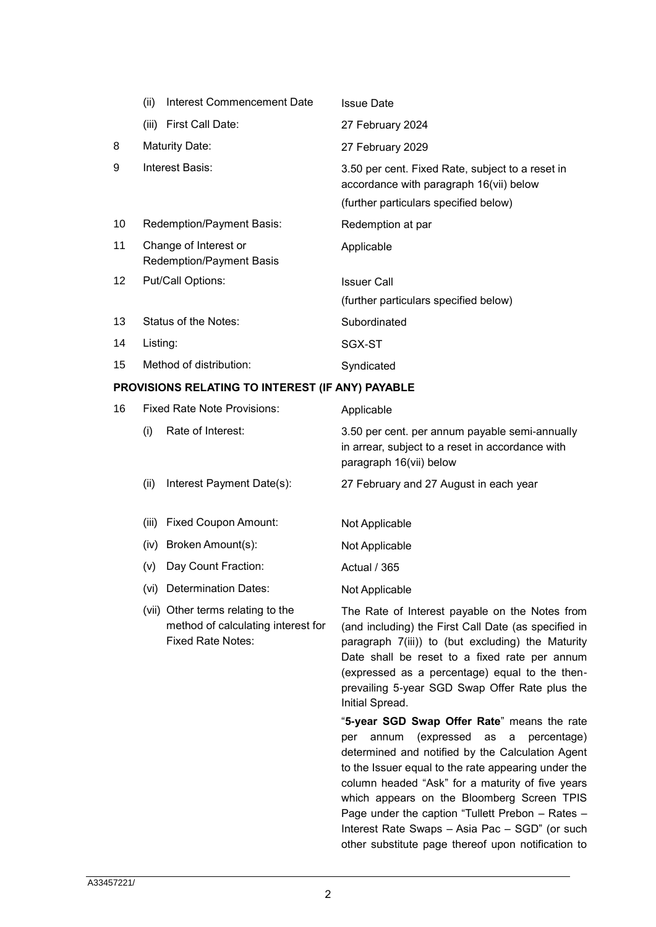|                 | (ii)<br>Interest Commencement Date                | <b>Issue Date</b>                                                                                                                    |
|-----------------|---------------------------------------------------|--------------------------------------------------------------------------------------------------------------------------------------|
|                 | (iii)<br>First Call Date:                         | 27 February 2024                                                                                                                     |
| 8               | Maturity Date:                                    | 27 February 2029                                                                                                                     |
| 9               | Interest Basis:                                   | 3.50 per cent. Fixed Rate, subject to a reset in<br>accordance with paragraph 16(vii) below<br>(further particulars specified below) |
| 10              | Redemption/Payment Basis:                         | Redemption at par                                                                                                                    |
| 11              | Change of Interest or<br>Redemption/Payment Basis | Applicable                                                                                                                           |
| 12 <sup>°</sup> | Put/Call Options:                                 | <b>Issuer Call</b><br>(further particulars specified below)                                                                          |
| 13              | Status of the Notes:                              | Subordinated                                                                                                                         |
| 14              | Listing:                                          | SGX-ST                                                                                                                               |
| 15              | Method of distribution:                           | Syndicated                                                                                                                           |

# **PROVISIONS RELATING TO INTEREST (IF ANY) PAYABLE**

| 16 |       | <b>Fixed Rate Note Provisions:</b>                                                                  | Applicable                                                                                                                                                                                                                                                                                                                          |
|----|-------|-----------------------------------------------------------------------------------------------------|-------------------------------------------------------------------------------------------------------------------------------------------------------------------------------------------------------------------------------------------------------------------------------------------------------------------------------------|
|    | (i)   | Rate of Interest:                                                                                   | 3.50 per cent. per annum payable semi-annually<br>in arrear, subject to a reset in accordance with<br>paragraph 16(vii) below                                                                                                                                                                                                       |
|    | (ii)  | Interest Payment Date(s):                                                                           | 27 February and 27 August in each year                                                                                                                                                                                                                                                                                              |
|    | (iii) | <b>Fixed Coupon Amount:</b>                                                                         | Not Applicable                                                                                                                                                                                                                                                                                                                      |
|    | (iv)  | Broken Amount(s):                                                                                   | Not Applicable                                                                                                                                                                                                                                                                                                                      |
|    | (v)   | Day Count Fraction:                                                                                 | Actual / 365                                                                                                                                                                                                                                                                                                                        |
|    | (vi)  | Determination Dates:                                                                                | Not Applicable                                                                                                                                                                                                                                                                                                                      |
|    |       | (vii) Other terms relating to the<br>method of calculating interest for<br><b>Fixed Rate Notes:</b> | The Rate of Interest payable on the Notes from<br>(and including) the First Call Date (as specified in<br>paragraph 7(iii)) to (but excluding) the Maturity<br>Date shall be reset to a fixed rate per annum<br>(expressed as a percentage) equal to the then-<br>prevailing 5-year SGD Swap Offer Rate plus the<br>Initial Spread. |
|    |       |                                                                                                     | "5-year SGD Swap Offer Rate" means the rate<br>(expressed as<br>annum<br>percentage)<br>per<br>a<br>determined and notified by the Calculation Agent                                                                                                                                                                                |

to the Issuer equal to the rate appearing under the column headed "Ask" for a maturity of five years which appears on the Bloomberg Screen TPIS Page under the caption "Tullett Prebon – Rates – Interest Rate Swaps – Asia Pac – SGD" (or such other substitute page thereof upon notification to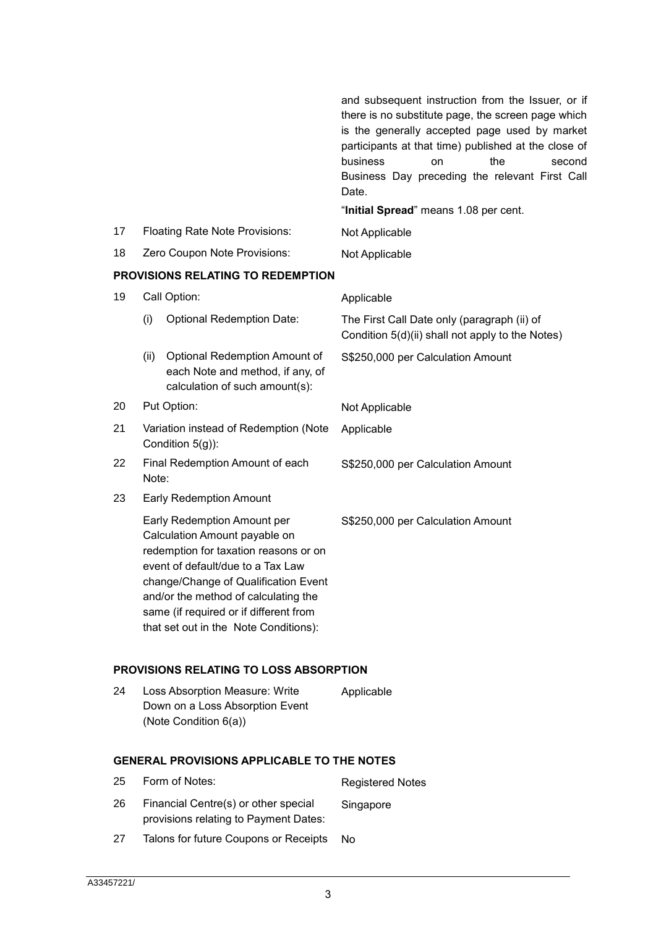|                                   |                                                           |                                                                                                                                                                                                                                                                                                               | and subsequent instruction from the Issuer, or if<br>there is no substitute page, the screen page which<br>is the generally accepted page used by market<br>participants at that time) published at the close of<br>business<br>the<br>on<br>second<br>Business Day preceding the relevant First Call<br>Date.<br>"Initial Spread" means 1.08 per cent. |
|-----------------------------------|-----------------------------------------------------------|---------------------------------------------------------------------------------------------------------------------------------------------------------------------------------------------------------------------------------------------------------------------------------------------------------------|---------------------------------------------------------------------------------------------------------------------------------------------------------------------------------------------------------------------------------------------------------------------------------------------------------------------------------------------------------|
| 17                                |                                                           | <b>Floating Rate Note Provisions:</b>                                                                                                                                                                                                                                                                         | Not Applicable                                                                                                                                                                                                                                                                                                                                          |
| 18                                |                                                           | Zero Coupon Note Provisions:                                                                                                                                                                                                                                                                                  | Not Applicable                                                                                                                                                                                                                                                                                                                                          |
| PROVISIONS RELATING TO REDEMPTION |                                                           |                                                                                                                                                                                                                                                                                                               |                                                                                                                                                                                                                                                                                                                                                         |
| 19                                |                                                           | Call Option:                                                                                                                                                                                                                                                                                                  | Applicable                                                                                                                                                                                                                                                                                                                                              |
|                                   | (i)                                                       | <b>Optional Redemption Date:</b>                                                                                                                                                                                                                                                                              | The First Call Date only (paragraph (ii) of<br>Condition 5(d)(ii) shall not apply to the Notes)                                                                                                                                                                                                                                                         |
|                                   | (ii)                                                      | Optional Redemption Amount of<br>each Note and method, if any, of<br>calculation of such amount(s):                                                                                                                                                                                                           | S\$250,000 per Calculation Amount                                                                                                                                                                                                                                                                                                                       |
| 20                                |                                                           | Put Option:                                                                                                                                                                                                                                                                                                   | Not Applicable                                                                                                                                                                                                                                                                                                                                          |
| 21                                | Variation instead of Redemption (Note<br>Condition 5(g)): |                                                                                                                                                                                                                                                                                                               | Applicable                                                                                                                                                                                                                                                                                                                                              |
| 22                                | Note:                                                     | Final Redemption Amount of each                                                                                                                                                                                                                                                                               | S\$250,000 per Calculation Amount                                                                                                                                                                                                                                                                                                                       |
| 23                                |                                                           | <b>Early Redemption Amount</b>                                                                                                                                                                                                                                                                                |                                                                                                                                                                                                                                                                                                                                                         |
|                                   |                                                           | Early Redemption Amount per<br>Calculation Amount payable on<br>redemption for taxation reasons or on<br>event of default/due to a Tax Law<br>change/Change of Qualification Event<br>and/or the method of calculating the<br>same (if required or if different from<br>that set out in the Note Conditions): | S\$250,000 per Calculation Amount                                                                                                                                                                                                                                                                                                                       |
|                                   |                                                           | <b>PROVISIONS RELATING TO LOSS ABSORPTION</b>                                                                                                                                                                                                                                                                 |                                                                                                                                                                                                                                                                                                                                                         |
| 24                                |                                                           | Loss Absorption Measure: Write<br>Down on a Loss Absorption Event<br>(Note Condition 6(a))                                                                                                                                                                                                                    | Applicable                                                                                                                                                                                                                                                                                                                                              |
|                                   |                                                           | <b>GENERAL PROVISIONS APPLICABLE TO THE NOTES</b>                                                                                                                                                                                                                                                             |                                                                                                                                                                                                                                                                                                                                                         |
| 25                                |                                                           | Form of Notes:                                                                                                                                                                                                                                                                                                | <b>Registered Notes</b>                                                                                                                                                                                                                                                                                                                                 |
| 26                                |                                                           | Financial Centre(s) or other special<br>provisions relating to Payment Dates:                                                                                                                                                                                                                                 | Singapore                                                                                                                                                                                                                                                                                                                                               |
| 27                                |                                                           | Talons for future Coupons or Receipts                                                                                                                                                                                                                                                                         | No.                                                                                                                                                                                                                                                                                                                                                     |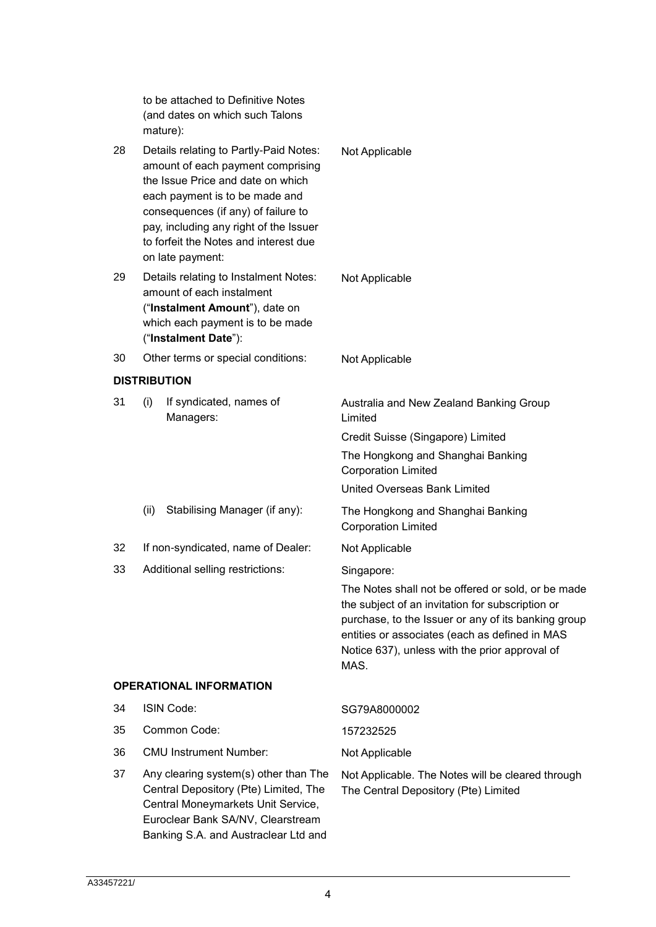to be attached to Definitive Notes (and dates on which such Talons mature):

- 28 Details relating to Partly-Paid Notes: amount of each payment comprising the Issue Price and date on which each payment is to be made and consequences (if any) of failure to pay, including any right of the Issuer to forfeit the Notes and interest due on late payment: Not Applicable 29 Details relating to Instalment Notes: amount of each instalment ("**Instalment Amount**"), date on which each payment is to be made Not Applicable
- ("**Instalment Date**"):
- 30 Other terms or special conditions: Not Applicable

### **DISTRIBUTION**

31 (i) If syndicated, names of Managers: Australia and New Zealand Banking Group Limited

Credit Suisse (Singapore) Limited

The Hongkong and Shanghai Banking Corporation Limited

United Overseas Bank Limited

(ii) Stabilising Manager (if any): The Hongkong and Shanghai Banking Corporation Limited

32 If non-syndicated, name of Dealer: Not Applicable

33 Additional selling restrictions: Singapore:

The Notes shall not be offered or sold, or be made the subject of an invitation for subscription or purchase, to the Issuer or any of its banking group entities or associates (each as defined in MAS Notice 637), unless with the prior approval of MAS.

# **OPERATIONAL INFORMATION**

- 34 ISIN Code: SG79A8000002
- 35 Common Code: 157232525
- 36 CMU Instrument Number: Not Applicable
- 37 Any clearing system(s) other than The Central Depository (Pte) Limited, The Central Moneymarkets Unit Service, Euroclear Bank SA/NV, Clearstream Banking S.A. and Austraclear Ltd and

Not Applicable. The Notes will be cleared through The Central Depository (Pte) Limited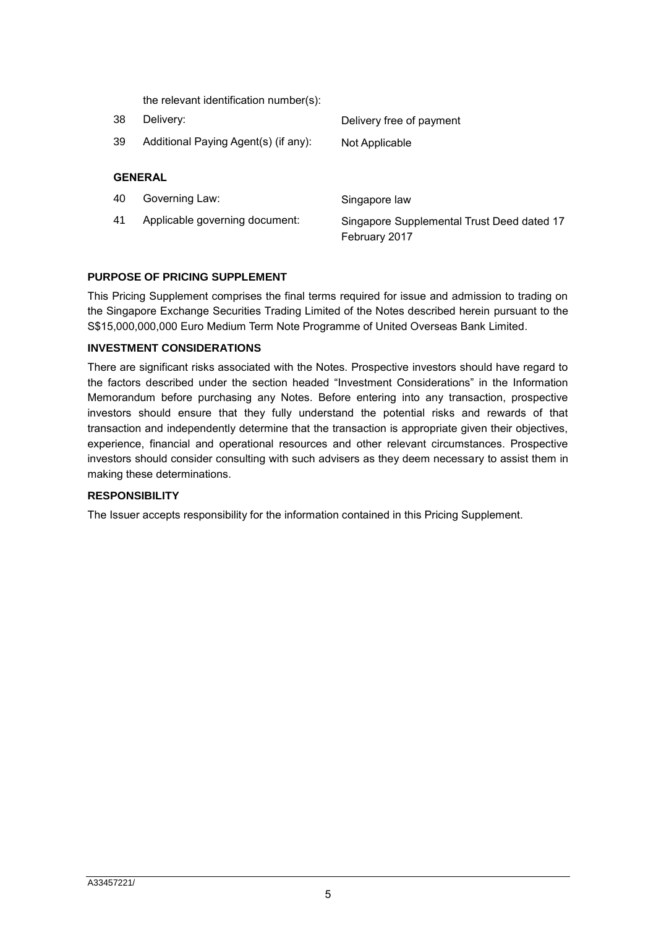| 38             | Delivery:                            | Delivery free of payment                   |  |  |
|----------------|--------------------------------------|--------------------------------------------|--|--|
| 39             | Additional Paying Agent(s) (if any): | Not Applicable                             |  |  |
| <b>GENERAL</b> |                                      |                                            |  |  |
| 40             | Governing Law:                       | Singapore law                              |  |  |
| 41             | Applicable governing document:       | Singapore Supplemental Trust Deed dated 17 |  |  |

# **PURPOSE OF PRICING SUPPLEMENT**

This Pricing Supplement comprises the final terms required for issue and admission to trading on the Singapore Exchange Securities Trading Limited of the Notes described herein pursuant to the S\$15,000,000,000 Euro Medium Term Note Programme of United Overseas Bank Limited.

February 2017

#### **INVESTMENT CONSIDERATIONS**

There are significant risks associated with the Notes. Prospective investors should have regard to the factors described under the section headed "Investment Considerations" in the Information Memorandum before purchasing any Notes. Before entering into any transaction, prospective investors should ensure that they fully understand the potential risks and rewards of that transaction and independently determine that the transaction is appropriate given their objectives, experience, financial and operational resources and other relevant circumstances. Prospective investors should consider consulting with such advisers as they deem necessary to assist them in making these determinations.

### **RESPONSIBILITY**

The Issuer accepts responsibility for the information contained in this Pricing Supplement.